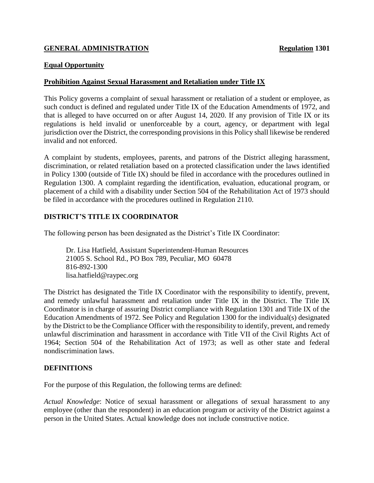# **GENERAL ADMINISTRATION Regulation 1301**

#### **Equal Opportunity**

#### **Prohibition Against Sexual Harassment and Retaliation under Title IX**

This Policy governs a complaint of sexual harassment or retaliation of a student or employee, as such conduct is defined and regulated under Title IX of the Education Amendments of 1972, and that is alleged to have occurred on or after August 14, 2020. If any provision of Title IX or its regulations is held invalid or unenforceable by a court, agency, or department with legal jurisdiction over the District, the corresponding provisions in this Policy shall likewise be rendered invalid and not enforced.

A complaint by students, employees, parents, and patrons of the District alleging harassment, discrimination, or related retaliation based on a protected classification under the laws identified in Policy 1300 (outside of Title IX) should be filed in accordance with the procedures outlined in Regulation 1300. A complaint regarding the identification, evaluation, educational program, or placement of a child with a disability under Section 504 of the Rehabilitation Act of 1973 should be filed in accordance with the procedures outlined in Regulation 2110.

### **DISTRICT'S TITLE IX COORDINATOR**

The following person has been designated as the District's Title IX Coordinator:

Dr. Lisa Hatfield, Assistant Superintendent-Human Resources 21005 S. School Rd., PO Box 789, Peculiar, MO 60478 816-892-1300 lisa.hatfield@raypec.org

The District has designated the Title IX Coordinator with the responsibility to identify, prevent, and remedy unlawful harassment and retaliation under Title IX in the District. The Title IX Coordinator is in charge of assuring District compliance with Regulation 1301 and Title IX of the Education Amendments of 1972. See Policy and Regulation 1300 for the individual(s) designated by the District to be the Compliance Officer with the responsibility to identify, prevent, and remedy unlawful discrimination and harassment in accordance with Title VII of the Civil Rights Act of 1964; Section 504 of the Rehabilitation Act of 1973; as well as other state and federal nondiscrimination laws.

#### **DEFINITIONS**

For the purpose of this Regulation, the following terms are defined:

*Actual Knowledge*: Notice of sexual harassment or allegations of sexual harassment to any employee (other than the respondent) in an education program or activity of the District against a person in the United States. Actual knowledge does not include constructive notice.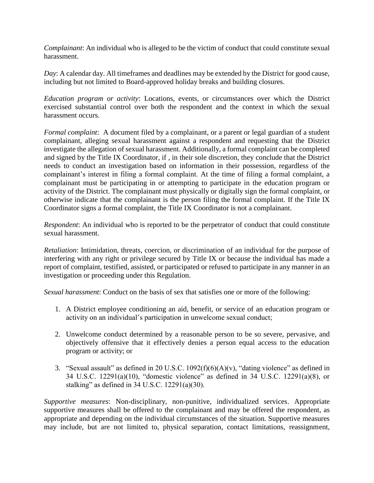*Complainant*: An individual who is alleged to be the victim of conduct that could constitute sexual harassment.

*Day*: A calendar day. All timeframes and deadlines may be extended by the District for good cause, including but not limited to Board-approved holiday breaks and building closures.

*Education program or activity*: Locations, events, or circumstances over which the District exercised substantial control over both the respondent and the context in which the sexual harassment occurs.

*Formal complaint*: A document filed by a complainant, or a parent or legal guardian of a student complainant, alleging sexual harassment against a respondent and requesting that the District investigate the allegation of sexual harassment. Additionally, a formal complaint can be completed and signed by the Title IX Coordinator, if , in their sole discretion, they conclude that the District needs to conduct an investigation based on information in their possession, regardless of the complainant's interest in filing a formal complaint. At the time of filing a formal complaint, a complainant must be participating in or attempting to participate in the education program or activity of the District. The complainant must physically or digitally sign the formal complaint, or otherwise indicate that the complainant is the person filing the formal complaint. If the Title IX Coordinator signs a formal complaint, the Title IX Coordinator is not a complainant.

*Respondent*: An individual who is reported to be the perpetrator of conduct that could constitute sexual harassment.

*Retaliation*: Intimidation, threats, coercion, or discrimination of an individual for the purpose of interfering with any right or privilege secured by Title IX or because the individual has made a report of complaint, testified, assisted, or participated or refused to participate in any manner in an investigation or proceeding under this Regulation.

*Sexual harassment*: Conduct on the basis of sex that satisfies one or more of the following:

- 1. A District employee conditioning an aid, benefit, or service of an education program or activity on an individual's participation in unwelcome sexual conduct;
- 2. Unwelcome conduct determined by a reasonable person to be so severe, pervasive, and objectively offensive that it effectively denies a person equal access to the education program or activity; or
- 3. "Sexual assault" as defined in 20 U.S.C.  $1092(f)(6)(A)(v)$ , "dating violence" as defined in 34 U.S.C. 12291(a)(10), "domestic violence" as defined in 34 U.S.C. 12291(a)(8), or stalking" as defined in 34 U.S.C. 12291(a)(30).

*Supportive measures*: Non-disciplinary, non-punitive, individualized services. Appropriate supportive measures shall be offered to the complainant and may be offered the respondent, as appropriate and depending on the individual circumstances of the situation. Supportive measures may include, but are not limited to, physical separation, contact limitations, reassignment,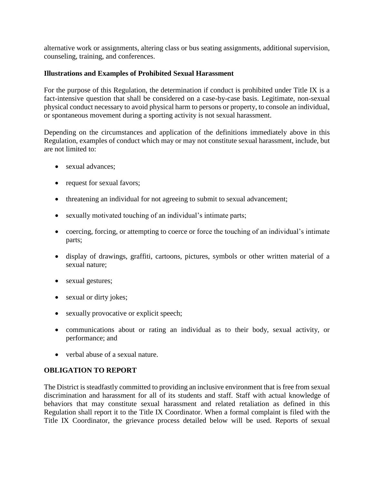alternative work or assignments, altering class or bus seating assignments, additional supervision, counseling, training, and conferences.

### **Illustrations and Examples of Prohibited Sexual Harassment**

For the purpose of this Regulation, the determination if conduct is prohibited under Title IX is a fact-intensive question that shall be considered on a case-by-case basis. Legitimate, non-sexual physical conduct necessary to avoid physical harm to persons or property, to console an individual, or spontaneous movement during a sporting activity is not sexual harassment.

Depending on the circumstances and application of the definitions immediately above in this Regulation, examples of conduct which may or may not constitute sexual harassment, include, but are not limited to:

- sexual advances:
- request for sexual favors;
- threatening an individual for not agreeing to submit to sexual advancement;
- sexually motivated touching of an individual's intimate parts;
- coercing, forcing, or attempting to coerce or force the touching of an individual's intimate parts;
- display of drawings, graffiti, cartoons, pictures, symbols or other written material of a sexual nature;
- sexual gestures;
- sexual or dirty jokes;
- sexually provocative or explicit speech;
- communications about or rating an individual as to their body, sexual activity, or performance; and
- verbal abuse of a sexual nature.

# **OBLIGATION TO REPORT**

The District is steadfastly committed to providing an inclusive environment that is free from sexual discrimination and harassment for all of its students and staff. Staff with actual knowledge of behaviors that may constitute sexual harassment and related retaliation as defined in this Regulation shall report it to the Title IX Coordinator. When a formal complaint is filed with the Title IX Coordinator, the grievance process detailed below will be used. Reports of sexual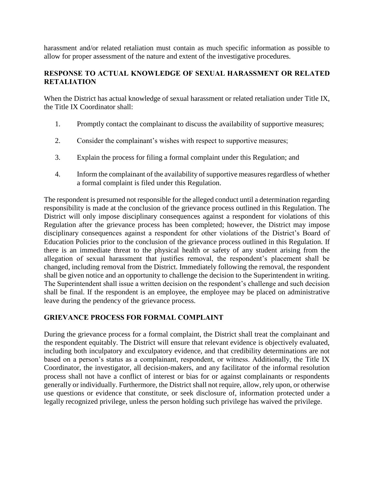harassment and/or related retaliation must contain as much specific information as possible to allow for proper assessment of the nature and extent of the investigative procedures.

# **RESPONSE TO ACTUAL KNOWLEDGE OF SEXUAL HARASSMENT OR RELATED RETALIATION**

When the District has actual knowledge of sexual harassment or related retaliation under Title IX, the Title IX Coordinator shall:

- 1. Promptly contact the complainant to discuss the availability of supportive measures;
- 2. Consider the complainant's wishes with respect to supportive measures;
- 3. Explain the process for filing a formal complaint under this Regulation; and
- 4. Inform the complainant of the availability of supportive measures regardless of whether a formal complaint is filed under this Regulation.

The respondent is presumed not responsible for the alleged conduct until a determination regarding responsibility is made at the conclusion of the grievance process outlined in this Regulation. The District will only impose disciplinary consequences against a respondent for violations of this Regulation after the grievance process has been completed; however, the District may impose disciplinary consequences against a respondent for other violations of the District's Board of Education Policies prior to the conclusion of the grievance process outlined in this Regulation. If there is an immediate threat to the physical health or safety of any student arising from the allegation of sexual harassment that justifies removal, the respondent's placement shall be changed, including removal from the District. Immediately following the removal, the respondent shall be given notice and an opportunity to challenge the decision to the Superintendent in writing. The Superintendent shall issue a written decision on the respondent's challenge and such decision shall be final. If the respondent is an employee, the employee may be placed on administrative leave during the pendency of the grievance process.

# **GRIEVANCE PROCESS FOR FORMAL COMPLAINT**

During the grievance process for a formal complaint, the District shall treat the complainant and the respondent equitably. The District will ensure that relevant evidence is objectively evaluated, including both inculpatory and exculpatory evidence, and that credibility determinations are not based on a person's status as a complainant, respondent, or witness. Additionally, the Title IX Coordinator, the investigator, all decision-makers, and any facilitator of the informal resolution process shall not have a conflict of interest or bias for or against complainants or respondents generally or individually. Furthermore, the District shall not require, allow, rely upon, or otherwise use questions or evidence that constitute, or seek disclosure of, information protected under a legally recognized privilege, unless the person holding such privilege has waived the privilege.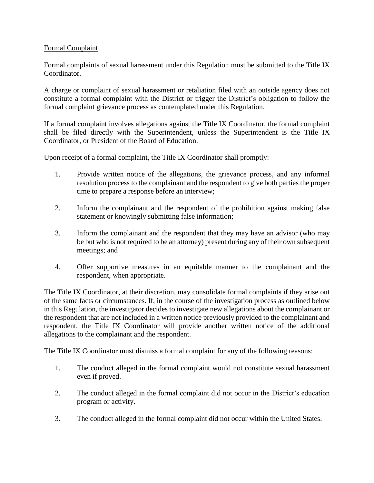### Formal Complaint

Formal complaints of sexual harassment under this Regulation must be submitted to the Title IX Coordinator.

A charge or complaint of sexual harassment or retaliation filed with an outside agency does not constitute a formal complaint with the District or trigger the District's obligation to follow the formal complaint grievance process as contemplated under this Regulation.

If a formal complaint involves allegations against the Title IX Coordinator, the formal complaint shall be filed directly with the Superintendent, unless the Superintendent is the Title IX Coordinator, or President of the Board of Education.

Upon receipt of a formal complaint, the Title IX Coordinator shall promptly:

- 1. Provide written notice of the allegations, the grievance process, and any informal resolution process to the complainant and the respondent to give both parties the proper time to prepare a response before an interview;
- 2. Inform the complainant and the respondent of the prohibition against making false statement or knowingly submitting false information;
- 3. Inform the complainant and the respondent that they may have an advisor (who may be but who is not required to be an attorney) present during any of their own subsequent meetings; and
- 4. Offer supportive measures in an equitable manner to the complainant and the respondent, when appropriate.

The Title IX Coordinator, at their discretion, may consolidate formal complaints if they arise out of the same facts or circumstances. If, in the course of the investigation process as outlined below in this Regulation, the investigator decides to investigate new allegations about the complainant or the respondent that are not included in a written notice previously provided to the complainant and respondent, the Title IX Coordinator will provide another written notice of the additional allegations to the complainant and the respondent.

The Title IX Coordinator must dismiss a formal complaint for any of the following reasons:

- 1. The conduct alleged in the formal complaint would not constitute sexual harassment even if proved.
- 2. The conduct alleged in the formal complaint did not occur in the District's education program or activity.
- 3. The conduct alleged in the formal complaint did not occur within the United States.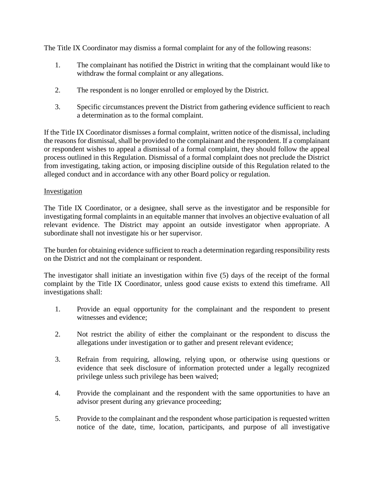The Title IX Coordinator may dismiss a formal complaint for any of the following reasons:

- 1. The complainant has notified the District in writing that the complainant would like to withdraw the formal complaint or any allegations.
- 2. The respondent is no longer enrolled or employed by the District.
- 3. Specific circumstances prevent the District from gathering evidence sufficient to reach a determination as to the formal complaint.

If the Title IX Coordinator dismisses a formal complaint, written notice of the dismissal, including the reasons for dismissal, shall be provided to the complainant and the respondent. If a complainant or respondent wishes to appeal a dismissal of a formal complaint, they should follow the appeal process outlined in this Regulation. Dismissal of a formal complaint does not preclude the District from investigating, taking action, or imposing discipline outside of this Regulation related to the alleged conduct and in accordance with any other Board policy or regulation.

# Investigation

The Title IX Coordinator, or a designee, shall serve as the investigator and be responsible for investigating formal complaints in an equitable manner that involves an objective evaluation of all relevant evidence. The District may appoint an outside investigator when appropriate. A subordinate shall not investigate his or her supervisor.

The burden for obtaining evidence sufficient to reach a determination regarding responsibility rests on the District and not the complainant or respondent.

The investigator shall initiate an investigation within five (5) days of the receipt of the formal complaint by the Title IX Coordinator, unless good cause exists to extend this timeframe. All investigations shall:

- 1. Provide an equal opportunity for the complainant and the respondent to present witnesses and evidence;
- 2. Not restrict the ability of either the complainant or the respondent to discuss the allegations under investigation or to gather and present relevant evidence;
- 3. Refrain from requiring, allowing, relying upon, or otherwise using questions or evidence that seek disclosure of information protected under a legally recognized privilege unless such privilege has been waived;
- 4. Provide the complainant and the respondent with the same opportunities to have an advisor present during any grievance proceeding;
- 5. Provide to the complainant and the respondent whose participation is requested written notice of the date, time, location, participants, and purpose of all investigative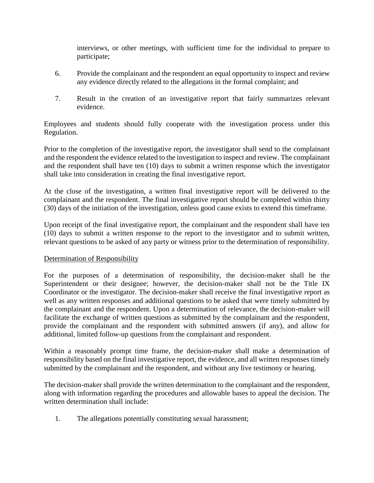interviews, or other meetings, with sufficient time for the individual to prepare to participate;

- 6. Provide the complainant and the respondent an equal opportunity to inspect and review any evidence directly related to the allegations in the formal complaint; and
- 7. Result in the creation of an investigative report that fairly summarizes relevant evidence.

Employees and students should fully cooperate with the investigation process under this Regulation.

Prior to the completion of the investigative report, the investigator shall send to the complainant and the respondent the evidence related to the investigation to inspect and review. The complainant and the respondent shall have ten (10) days to submit a written response which the investigator shall take into consideration in creating the final investigative report.

At the close of the investigation, a written final investigative report will be delivered to the complainant and the respondent. The final investigative report should be completed within thirty (30) days of the initiation of the investigation, unless good cause exists to extend this timeframe.

Upon receipt of the final investigative report, the complainant and the respondent shall have ten (10) days to submit a written response to the report to the investigator and to submit written, relevant questions to be asked of any party or witness prior to the determination of responsibility.

# Determination of Responsibility

For the purposes of a determination of responsibility, the decision-maker shall be the Superintendent or their designee; however, the decision-maker shall not be the Title IX Coordinator or the investigator. The decision-maker shall receive the final investigative report as well as any written responses and additional questions to be asked that were timely submitted by the complainant and the respondent. Upon a determination of relevance, the decision-maker will facilitate the exchange of written questions as submitted by the complainant and the respondent, provide the complainant and the respondent with submitted answers (if any), and allow for additional, limited follow-up questions from the complainant and respondent.

Within a reasonably prompt time frame, the decision-maker shall make a determination of responsibility based on the final investigative report, the evidence, and all written responses timely submitted by the complainant and the respondent, and without any live testimony or hearing.

The decision-maker shall provide the written determination to the complainant and the respondent, along with information regarding the procedures and allowable bases to appeal the decision. The written determination shall include:

1. The allegations potentially constituting sexual harassment;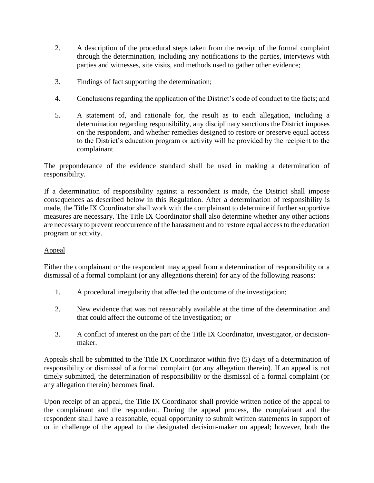- 2. A description of the procedural steps taken from the receipt of the formal complaint through the determination, including any notifications to the parties, interviews with parties and witnesses, site visits, and methods used to gather other evidence;
- 3. Findings of fact supporting the determination;
- 4. Conclusions regarding the application of the District's code of conduct to the facts; and
- 5. A statement of, and rationale for, the result as to each allegation, including a determination regarding responsibility, any disciplinary sanctions the District imposes on the respondent, and whether remedies designed to restore or preserve equal access to the District's education program or activity will be provided by the recipient to the complainant.

The preponderance of the evidence standard shall be used in making a determination of responsibility.

If a determination of responsibility against a respondent is made, the District shall impose consequences as described below in this Regulation. After a determination of responsibility is made, the Title IX Coordinator shall work with the complainant to determine if further supportive measures are necessary. The Title IX Coordinator shall also determine whether any other actions are necessary to prevent reoccurrence of the harassment and to restore equal access to the education program or activity.

# Appeal

Either the complainant or the respondent may appeal from a determination of responsibility or a dismissal of a formal complaint (or any allegations therein) for any of the following reasons:

- 1. A procedural irregularity that affected the outcome of the investigation;
- 2. New evidence that was not reasonably available at the time of the determination and that could affect the outcome of the investigation; or
- 3. A conflict of interest on the part of the Title IX Coordinator, investigator, or decisionmaker.

Appeals shall be submitted to the Title IX Coordinator within five (5) days of a determination of responsibility or dismissal of a formal complaint (or any allegation therein). If an appeal is not timely submitted, the determination of responsibility or the dismissal of a formal complaint (or any allegation therein) becomes final.

Upon receipt of an appeal, the Title IX Coordinator shall provide written notice of the appeal to the complainant and the respondent. During the appeal process, the complainant and the respondent shall have a reasonable, equal opportunity to submit written statements in support of or in challenge of the appeal to the designated decision-maker on appeal; however, both the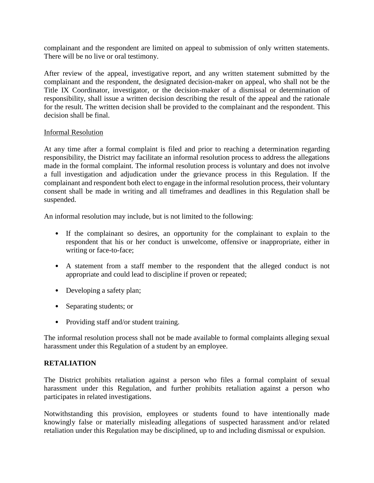complainant and the respondent are limited on appeal to submission of only written statements. There will be no live or oral testimony.

After review of the appeal, investigative report, and any written statement submitted by the complainant and the respondent, the designated decision-maker on appeal, who shall not be the Title IX Coordinator, investigator, or the decision-maker of a dismissal or determination of responsibility, shall issue a written decision describing the result of the appeal and the rationale for the result. The written decision shall be provided to the complainant and the respondent. This decision shall be final.

### Informal Resolution

At any time after a formal complaint is filed and prior to reaching a determination regarding responsibility, the District may facilitate an informal resolution process to address the allegations made in the formal complaint. The informal resolution process is voluntary and does not involve a full investigation and adjudication under the grievance process in this Regulation. If the complainant and respondent both elect to engage in the informal resolution process, their voluntary consent shall be made in writing and all timeframes and deadlines in this Regulation shall be suspended.

An informal resolution may include, but is not limited to the following:

- If the complainant so desires, an opportunity for the complainant to explain to the respondent that his or her conduct is unwelcome, offensive or inappropriate, either in writing or face-to-face;
- A statement from a staff member to the respondent that the alleged conduct is not appropriate and could lead to discipline if proven or repeated;
- Developing a safety plan;
- Separating students; or
- Providing staff and/or student training.

The informal resolution process shall not be made available to formal complaints alleging sexual harassment under this Regulation of a student by an employee.

# **RETALIATION**

The District prohibits retaliation against a person who files a formal complaint of sexual harassment under this Regulation, and further prohibits retaliation against a person who participates in related investigations.

Notwithstanding this provision, employees or students found to have intentionally made knowingly false or materially misleading allegations of suspected harassment and/or related retaliation under this Regulation may be disciplined, up to and including dismissal or expulsion.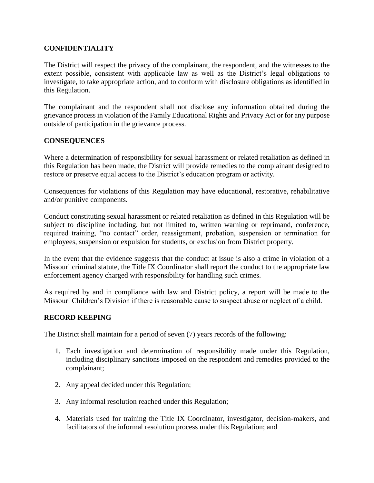### **CONFIDENTIALITY**

The District will respect the privacy of the complainant, the respondent, and the witnesses to the extent possible, consistent with applicable law as well as the District's legal obligations to investigate, to take appropriate action, and to conform with disclosure obligations as identified in this Regulation.

The complainant and the respondent shall not disclose any information obtained during the grievance process in violation of the Family Educational Rights and Privacy Act or for any purpose outside of participation in the grievance process.

### **CONSEQUENCES**

Where a determination of responsibility for sexual harassment or related retaliation as defined in this Regulation has been made, the District will provide remedies to the complainant designed to restore or preserve equal access to the District's education program or activity.

Consequences for violations of this Regulation may have educational, restorative, rehabilitative and/or punitive components.

Conduct constituting sexual harassment or related retaliation as defined in this Regulation will be subject to discipline including, but not limited to, written warning or reprimand, conference, required training, "no contact" order, reassignment, probation, suspension or termination for employees, suspension or expulsion for students, or exclusion from District property.

In the event that the evidence suggests that the conduct at issue is also a crime in violation of a Missouri criminal statute, the Title IX Coordinator shall report the conduct to the appropriate law enforcement agency charged with responsibility for handling such crimes.

As required by and in compliance with law and District policy, a report will be made to the Missouri Children's Division if there is reasonable cause to suspect abuse or neglect of a child.

#### **RECORD KEEPING**

The District shall maintain for a period of seven (7) years records of the following:

- 1. Each investigation and determination of responsibility made under this Regulation, including disciplinary sanctions imposed on the respondent and remedies provided to the complainant;
- 2. Any appeal decided under this Regulation;
- 3. Any informal resolution reached under this Regulation;
- 4. Materials used for training the Title IX Coordinator, investigator, decision-makers, and facilitators of the informal resolution process under this Regulation; and